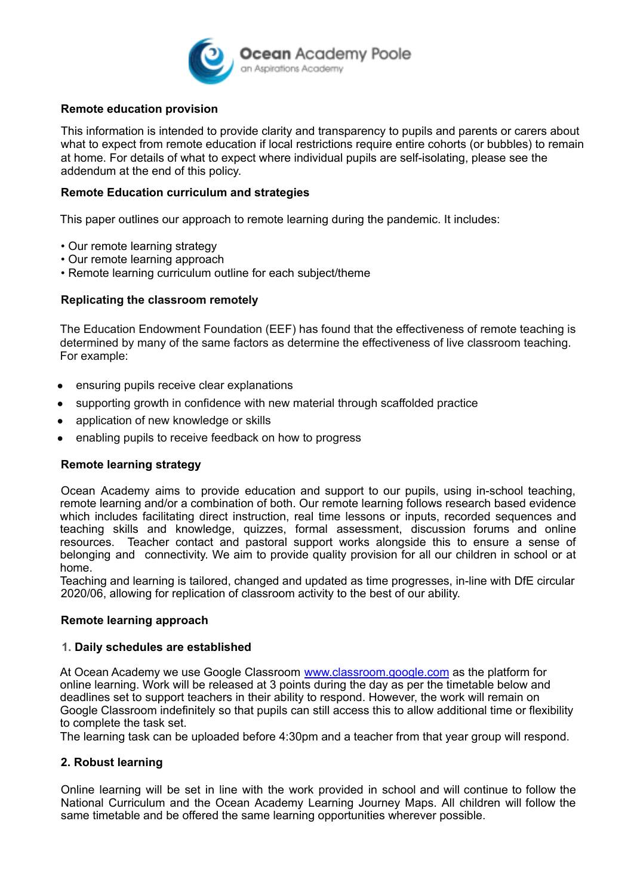

## **Remote education provision**

This information is intended to provide clarity and transparency to pupils and parents or carers about what to expect from remote education if local restrictions require entire cohorts (or bubbles) to remain at home. For details of what to expect where individual pupils are self-isolating, please see the addendum at the end of this policy.

### **Remote Education curriculum and strategies**

This paper outlines our approach to remote learning during the pandemic. It includes:

- Our remote learning strategy
- Our remote learning approach
- Remote learning curriculum outline for each subject/theme

### **Replicating the classroom remotely**

The Education Endowment Foundation (EEF) has found that the effectiveness of remote teaching is determined by many of the same factors as determine the effectiveness of live classroom teaching. For example:

- ensuring pupils receive clear explanations
- supporting growth in confidence with new material through scaffolded practice
- application of new knowledge or skills
- enabling pupils to receive feedback on how to progress

### **Remote learning strategy**

Ocean Academy aims to provide education and support to our pupils, using in-school teaching, remote learning and/or a combination of both. Our remote learning follows research based evidence which includes facilitating direct instruction, real time lessons or inputs, recorded sequences and teaching skills and knowledge, quizzes, formal assessment, discussion forums and online resources. Teacher contact and pastoral support works alongside this to ensure a sense of belonging and connectivity. We aim to provide quality provision for all our children in school or at home.

Teaching and learning is tailored, changed and updated as time progresses, in-line with DfE circular 2020/06, allowing for replication of classroom activity to the best of our ability.

### **Remote learning approach**

### **1. Daily schedules are established**

At Ocean Academy we use Google Classroom [www.classroom.google.com](http://www.classroom.google.com) as the platform for online learning. Work will be released at 3 points during the day as per the timetable below and deadlines set to support teachers in their ability to respond. However, the work will remain on Google Classroom indefinitely so that pupils can still access this to allow additional time or flexibility to complete the task set.

The learning task can be uploaded before 4:30pm and a teacher from that year group will respond.

### **2. Robust learning**

Online learning will be set in line with the work provided in school and will continue to follow the National Curriculum and the Ocean Academy Learning Journey Maps. All children will follow the same timetable and be offered the same learning opportunities wherever possible.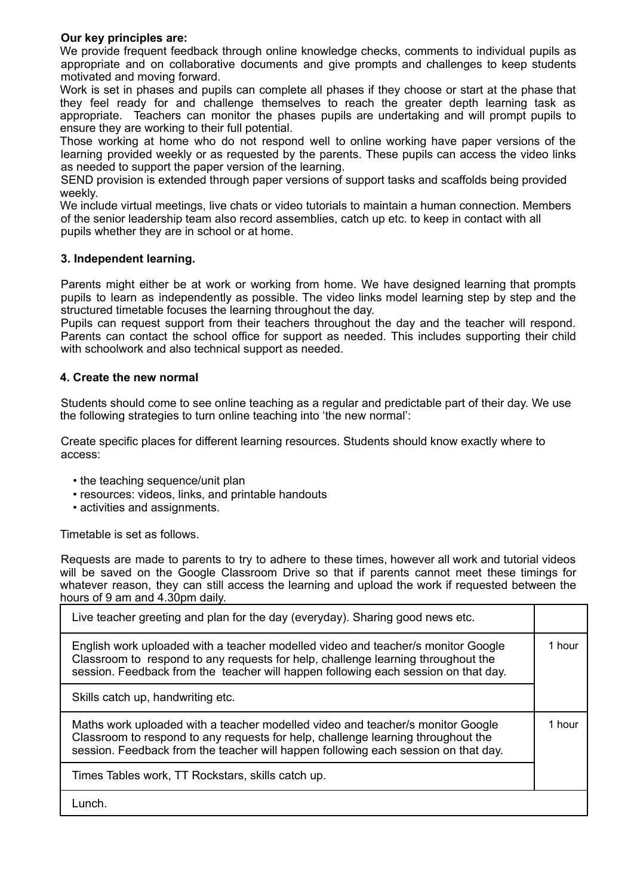## **Our key principles are:**

We provide frequent feedback through online knowledge checks, comments to individual pupils as appropriate and on collaborative documents and give prompts and challenges to keep students motivated and moving forward.

Work is set in phases and pupils can complete all phases if they choose or start at the phase that they feel ready for and challenge themselves to reach the greater depth learning task as appropriate. Teachers can monitor the phases pupils are undertaking and will prompt pupils to ensure they are working to their full potential.

Those working at home who do not respond well to online working have paper versions of the learning provided weekly or as requested by the parents. These pupils can access the video links as needed to support the paper version of the learning.

SEND provision is extended through paper versions of support tasks and scaffolds being provided weekly.

We include virtual meetings, live chats or video tutorials to maintain a human connection. Members of the senior leadership team also record assemblies, catch up etc. to keep in contact with all pupils whether they are in school or at home.

## **3. Independent learning.**

Parents might either be at work or working from home. We have designed learning that prompts pupils to learn as independently as possible. The video links model learning step by step and the structured timetable focuses the learning throughout the day.

Pupils can request support from their teachers throughout the day and the teacher will respond. Parents can contact the school office for support as needed. This includes supporting their child with schoolwork and also technical support as needed.

### **4. Create the new normal**

Students should come to see online teaching as a regular and predictable part of their day. We use the following strategies to turn online teaching into 'the new normal':

Create specific places for different learning resources. Students should know exactly where to access:

- the teaching sequence/unit plan
- resources: videos, links, and printable handouts
- activities and assignments.

Timetable is set as follows.

Requests are made to parents to try to adhere to these times, however all work and tutorial videos will be saved on the Google Classroom Drive so that if parents cannot meet these timings for whatever reason, they can still access the learning and upload the work if requested between the hours of 9 am and 4.30pm daily.

| Live teacher greeting and plan for the day (everyday). Sharing good news etc.                                                                                                                                                                              |        |
|------------------------------------------------------------------------------------------------------------------------------------------------------------------------------------------------------------------------------------------------------------|--------|
| English work uploaded with a teacher modelled video and teacher/s monitor Google<br>Classroom to respond to any requests for help, challenge learning throughout the<br>session. Feedback from the teacher will happen following each session on that day. | 1 hour |
| Skills catch up, handwriting etc.                                                                                                                                                                                                                          |        |
| Maths work uploaded with a teacher modelled video and teacher/s monitor Google<br>Classroom to respond to any requests for help, challenge learning throughout the<br>session. Feedback from the teacher will happen following each session on that day.   | 1 hour |
| Times Tables work, TT Rockstars, skills catch up.                                                                                                                                                                                                          |        |
| Lunch.                                                                                                                                                                                                                                                     |        |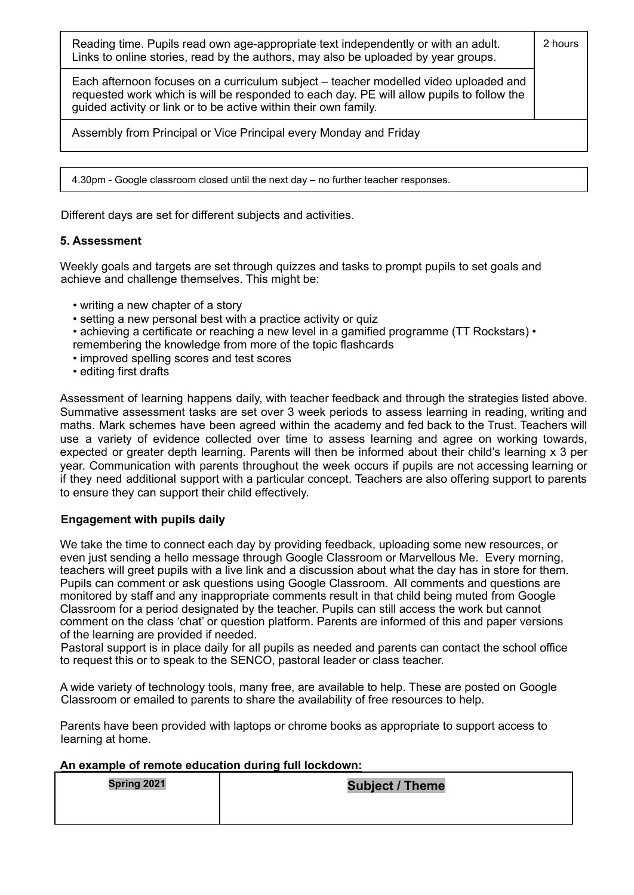| Reading time. Pupils read own age-appropriate text independently or with an adult.<br>Links to online stories, read by the authors, may also be uploaded by year groups.                                                                              | 2 hours |
|-------------------------------------------------------------------------------------------------------------------------------------------------------------------------------------------------------------------------------------------------------|---------|
| Each afternoon focuses on a curriculum subject – teacher modelled video uploaded and<br>requested work which is will be responded to each day. PE will allow pupils to follow the<br>guided activity or link or to be active within their own family. |         |
| Assembly from Principal or Vice Principal every Monday and Friday                                                                                                                                                                                     |         |
|                                                                                                                                                                                                                                                       |         |
| 4.30pm - Google classroom closed until the next day – no further teacher responses.                                                                                                                                                                   |         |

Different days are set for different subjects and activities.

# **5. Assessment**

Weekly goals and targets are set through quizzes and tasks to prompt pupils to set goals and achieve and challenge themselves. This might be:

- writing a new chapter of a story
- setting a new personal best with a practice activity or quiz

• achieving a certificate or reaching a new level in a gamified programme (TT Rockstars) • remembering the knowledge from more of the topic flashcards

- improved spelling scores and test scores
- editing first drafts

Assessment of learning happens daily, with teacher feedback and through the strategies listed above. Summative assessment tasks are set over 3 week periods to assess learning in reading, writing and maths. Mark schemes have been agreed within the academy and fed back to the Trust. Teachers will use a variety of evidence collected over time to assess learning and agree on working towards, expected or greater depth learning. Parents will then be informed about their child's learning x 3 per year. Communication with parents throughout the week occurs if pupils are not accessing learning or if they need additional support with a particular concept. Teachers are also offering support to parents to ensure they can support their child effectively.

## **Engagement with pupils daily**

We take the time to connect each day by providing feedback, uploading some new resources, or even just sending a hello message through Google Classroom or Marvellous Me. Every morning, teachers will greet pupils with a live link and a discussion about what the day has in store for them. Pupils can comment or ask questions using Google Classroom. All comments and questions are monitored by staff and any inappropriate comments result in that child being muted from Google Classroom for a period designated by the teacher. Pupils can still access the work but cannot comment on the class 'chat' or question platform. Parents are informed of this and paper versions of the learning are provided if needed.

Pastoral support is in place daily for all pupils as needed and parents can contact the school office to request this or to speak to the SENCO, pastoral leader or class teacher.

A wide variety of technology tools, many free, are available to help. These are posted on Google Classroom or emailed to parents to share the availability of free resources to help.

Parents have been provided with laptops or chrome books as appropriate to support access to learning at home.

### **An example of remote education during full lockdown:**

| <b>Spring 2021</b> | <b>Subject / Theme</b> |
|--------------------|------------------------|
|                    |                        |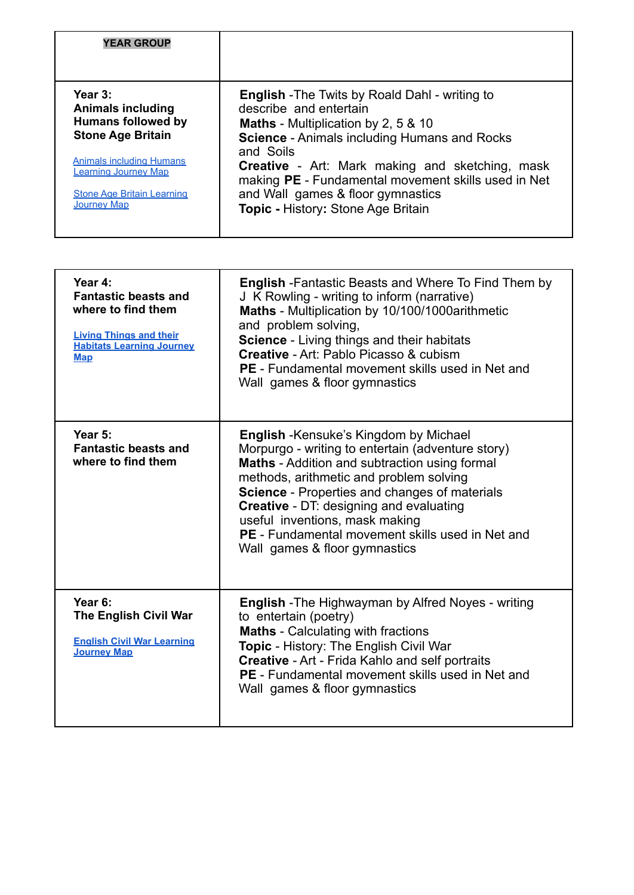| <b>YEAR GROUP</b>                                                                                                                                                                                                         |                                                                                                                                                                                                                                                                                                                                                                                               |
|---------------------------------------------------------------------------------------------------------------------------------------------------------------------------------------------------------------------------|-----------------------------------------------------------------------------------------------------------------------------------------------------------------------------------------------------------------------------------------------------------------------------------------------------------------------------------------------------------------------------------------------|
|                                                                                                                                                                                                                           |                                                                                                                                                                                                                                                                                                                                                                                               |
| Year 3:<br><b>Animals including</b><br><b>Humans followed by</b><br><b>Stone Age Britain</b><br><b>Animals including Humans</b><br><b>Learning Journey Map</b><br><b>Stone Age Britain Learning</b><br><b>Journey Map</b> | <b>English</b> - The Twits by Roald Dahl - writing to<br>describe and entertain<br><b>Maths</b> - Multiplication by 2, 5 & 10<br><b>Science - Animals including Humans and Rocks</b><br>and Soils<br><b>Creative</b> - Art: Mark making and sketching, mask<br>making PE - Fundamental movement skills used in Net<br>and Wall games & floor gymnastics<br>Topic - History: Stone Age Britain |

| Year 4:<br><b>Fantastic beasts and</b><br>where to find them<br><b>Living Things and their</b><br><b>Habitats Learning Journey</b><br><b>Map</b> | <b>English</b> - Fantastic Beasts and Where To Find Them by<br>J K Rowling - writing to inform (narrative)<br>Maths - Multiplication by 10/100/1000arithmetic<br>and problem solving,<br><b>Science</b> - Living things and their habitats<br><b>Creative - Art: Pablo Picasso &amp; cubism</b><br><b>PE</b> - Fundamental movement skills used in Net and<br>Wall games & floor gymnastics                                                   |
|--------------------------------------------------------------------------------------------------------------------------------------------------|-----------------------------------------------------------------------------------------------------------------------------------------------------------------------------------------------------------------------------------------------------------------------------------------------------------------------------------------------------------------------------------------------------------------------------------------------|
| Year 5:<br><b>Fantastic beasts and</b><br>where to find them                                                                                     | <b>English</b> - Kensuke's Kingdom by Michael<br>Morpurgo - writing to entertain (adventure story)<br><b>Maths</b> - Addition and subtraction using formal<br>methods, arithmetic and problem solving<br><b>Science</b> - Properties and changes of materials<br><b>Creative - DT: designing and evaluating</b><br>useful inventions, mask making<br><b>PE</b> - Fundamental movement skills used in Net and<br>Wall games & floor gymnastics |
| Year 6:<br><b>The English Civil War</b><br><b>English Civil War Learning</b><br><b>Journey Map</b>                                               | <b>English</b> - The Highwayman by Alfred Noyes - writing<br>to entertain (poetry)<br><b>Maths</b> - Calculating with fractions<br>Topic - History: The English Civil War<br><b>Creative - Art - Frida Kahlo and self portraits</b><br><b>PE</b> - Fundamental movement skills used in Net and<br>Wall games & floor gymnastics                                                                                                               |